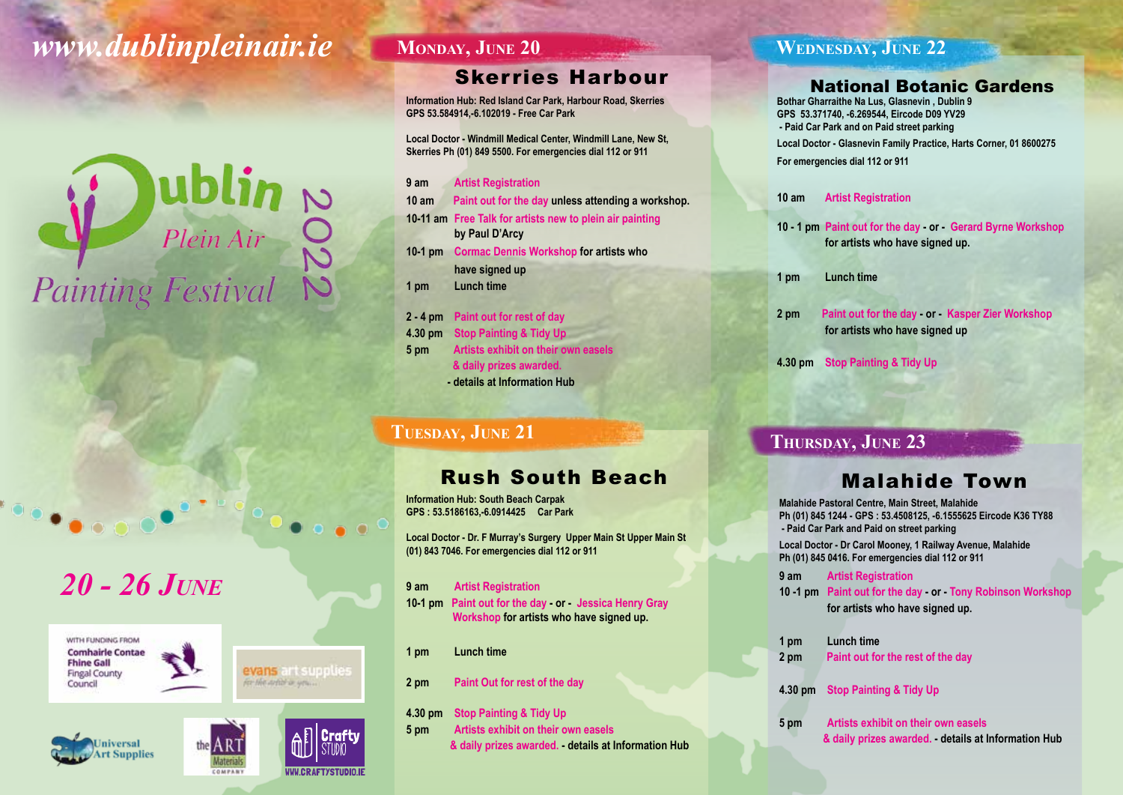# *www.dublinpleinair.ie*

# **COMPLAINER**<br>
Painting Festival

# *20 - 26 June*











#### **MONDAY, JUNE 20**

# Skerries Harbour

**Information Hub: Red Island Car Park, Harbour Road, Skerries GPS 53.584914,-6.102019 - Free Car Park**

**Local Doctor - Windmill Medical Center, Windmill Lane, New St, Skerries Ph (01) 849 5500. For emergencies dial 112 or 911**

**9 am Artist Registration**

**10 am Paint out for the day unless attending a workshop.**

**10-11 am Free Talk for artists new to plein air painting by Paul D'Arcy**

**10-1 pm Cormac Dennis Workshop for artists who have signed up 1 pm Lunch time**

**2 - 4 pm Paint out for rest of day 4.30 pm Stop Painting & Tidy Up 5 pm Artists exhibit on their own easels & daily prizes awarded. - details at Information Hub**

#### **Tuesday, June 21**

# Rush South Beach

**Information Hub: South Beach Carpak GPS : 53.5186163,-6.0914425 Car Park** 

**Local Doctor - Dr. F Murray's Surgery Upper Main St Upper Main St (01) 843 7046. For emergencies dial 112 or 911**

- **9 am Artist Registration 10-1 pm Paint out for the day - or - Jessica Henry Gray Workshop for artists who have signed up.**
- **1 pm Lunch time**
- **2 pm Paint Out for rest of the day**

**4.30 pm Stop Painting & Tidy Up**

**5 pm Artists exhibit on their own easels & daily prizes awarded. - details at Information Hub**

#### **Wednesday, June 22**

#### National Botanic Gardens

**Bothar Gharraithe Na Lus, Glasnevin , Dublin 9 GPS 53.371740, -6.269544, Eircode D09 YV29 - Paid Car Park and on Paid street parking Local Doctor - Glasnevin Family Practice, Harts Corner, 01 8600275 For emergencies dial 112 or 911**

- **10 am Artist Registration**
- **10 1 pm Paint out for the day or Gerard Byrne Workshop for artists who have signed up.**
- **1 pm Lunch time**
- **2 pm Paint out for the day or Kasper Zier Workshop for artists who have signed up**
- **4.30 pm Stop Painting & Tidy Up**

#### **Thursday, June 23**

## Malahide Town

**Malahide Pastoral Centre, Main Street, Malahide Ph (01) 845 1244 - GPS : 53.4508125, -6.1555625 Eircode K36 TY88 - Paid Car Park and Paid on street parking**

**Local Doctor - Dr Carol Mooney, 1 Railway Avenue, Malahide Ph (01) 845 0416. For emergencies dial 112 or 911**

**9 am Artist Registration 10 -1 pm Paint out for the day - or - Tony Robinson Workshop for artists who have signed up.** 

| 1 pm | Lunch time                        |
|------|-----------------------------------|
| 2 pm | Paint out for the rest of the day |

- **4.30 pm Stop Painting & Tidy Up**
- **5 pm Artists exhibit on their own easels & daily prizes awarded. - details at Information Hub**